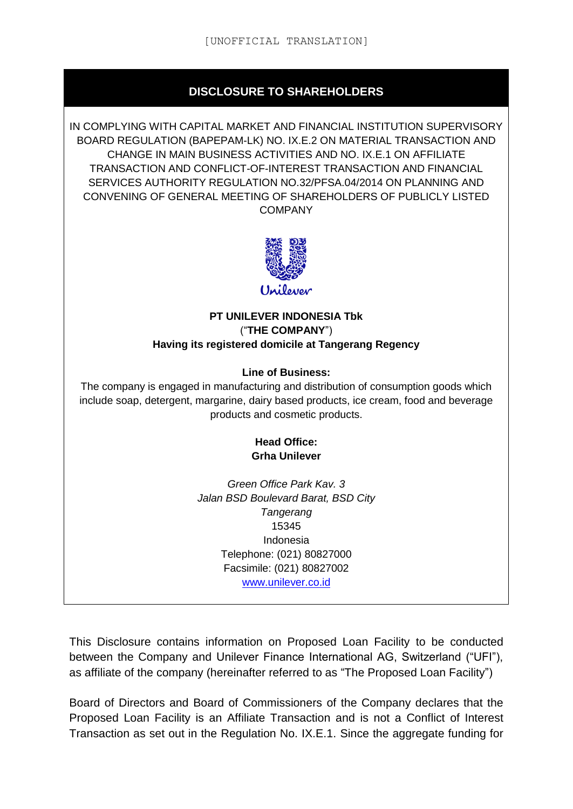## **DISCLOSURE TO SHAREHOLDERS**

IN COMPLYING WITH CAPITAL MARKET AND FINANCIAL INSTITUTION SUPERVISORY BOARD REGULATION (BAPEPAM-LK) NO. IX.E.2 ON MATERIAL TRANSACTION AND CHANGE IN MAIN BUSINESS ACTIVITIES AND NO. IX.E.1 ON AFFILIATE TRANSACTION AND CONFLICT-OF-INTEREST TRANSACTION AND FINANCIAL SERVICES AUTHORITY REGULATION NO.32/PFSA.04/2014 ON PLANNING AND CONVENING OF GENERAL MEETING OF SHAREHOLDERS OF PUBLICLY LISTED **COMPANY** 



#### **PT UNILEVER INDONESIA Tbk** ("**THE COMPANY**") **Having its registered domicile at Tangerang Regency**

#### **Line of Business:**

The company is engaged in manufacturing and distribution of consumption goods which include soap, detergent, margarine, dairy based products, ice cream, food and beverage products and cosmetic products.

#### **Head Office: Grha Unilever**

*Green Office Park Kav. 3 Jalan BSD Boulevard Barat, BSD City Tangerang* 15345 Indonesia Telephone: (021) 80827000 Facsimile: (021) 80827002 [www.unilever.co.id](file:///C:/Users/reski.damayanti/AppData/Local/Microsoft/Windows/Temporary%20Internet%20Files/Content.Outlook/J17XUSGS/www.astra.co.id)

This Disclosure contains information on Proposed Loan Facility to be conducted between the Company and Unilever Finance International AG, Switzerland ("UFI"), as affiliate of the company (hereinafter referred to as "The Proposed Loan Facility")

Board of Directors and Board of Commissioners of the Company declares that the Proposed Loan Facility is an Affiliate Transaction and is not a Conflict of Interest Transaction as set out in the Regulation No. IX.E.1. Since the aggregate funding for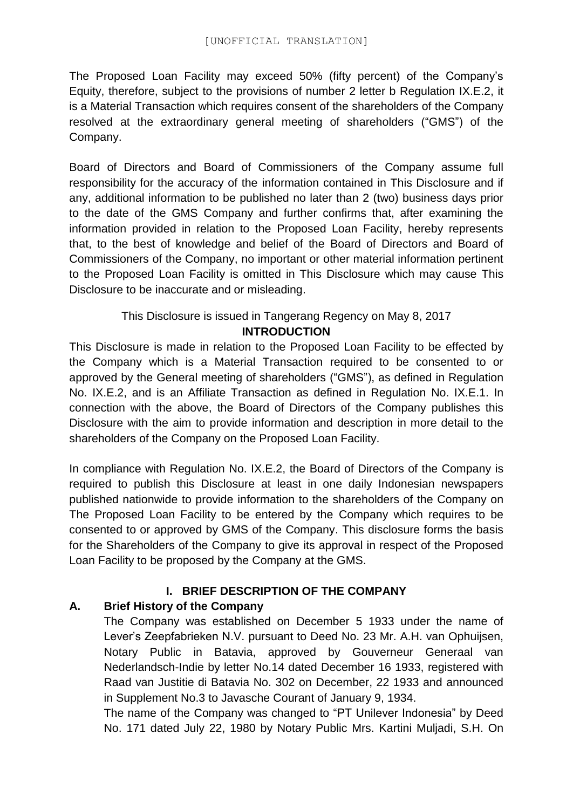The Proposed Loan Facility may exceed 50% (fifty percent) of the Company's Equity, therefore, subject to the provisions of number 2 letter b Regulation IX.E.2, it is a Material Transaction which requires consent of the shareholders of the Company resolved at the extraordinary general meeting of shareholders ("GMS") of the Company.

Board of Directors and Board of Commissioners of the Company assume full responsibility for the accuracy of the information contained in This Disclosure and if any, additional information to be published no later than 2 (two) business days prior to the date of the GMS Company and further confirms that, after examining the information provided in relation to the Proposed Loan Facility, hereby represents that, to the best of knowledge and belief of the Board of Directors and Board of Commissioners of the Company, no important or other material information pertinent to the Proposed Loan Facility is omitted in This Disclosure which may cause This Disclosure to be inaccurate and or misleading.

## This Disclosure is issued in Tangerang Regency on May 8, 2017

### **INTRODUCTION**

This Disclosure is made in relation to the Proposed Loan Facility to be effected by the Company which is a Material Transaction required to be consented to or approved by the General meeting of shareholders ("GMS"), as defined in Regulation No. IX.E.2, and is an Affiliate Transaction as defined in Regulation No. IX.E.1. In connection with the above, the Board of Directors of the Company publishes this Disclosure with the aim to provide information and description in more detail to the shareholders of the Company on the Proposed Loan Facility.

In compliance with Regulation No. IX.E.2, the Board of Directors of the Company is required to publish this Disclosure at least in one daily Indonesian newspapers published nationwide to provide information to the shareholders of the Company on The Proposed Loan Facility to be entered by the Company which requires to be consented to or approved by GMS of the Company. This disclosure forms the basis for the Shareholders of the Company to give its approval in respect of the Proposed Loan Facility to be proposed by the Company at the GMS.

### **I. BRIEF DESCRIPTION OF THE COMPANY**

## **A. Brief History of the Company**

The Company was established on December 5 1933 under the name of Lever's Zeepfabrieken N.V. pursuant to Deed No. 23 Mr. A.H. van Ophuijsen, Notary Public in Batavia, approved by Gouverneur Generaal van Nederlandsch-Indie by letter No.14 dated December 16 1933, registered with Raad van Justitie di Batavia No. 302 on December, 22 1933 and announced in Supplement No.3 to Javasche Courant of January 9, 1934.

The name of the Company was changed to "PT Unilever Indonesia" by Deed No. 171 dated July 22, 1980 by Notary Public Mrs. Kartini Muljadi, S.H. On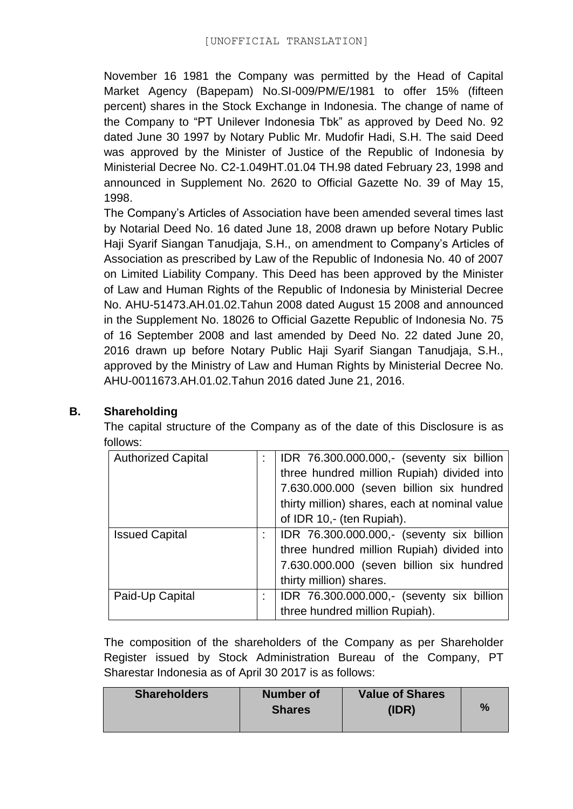November 16 1981 the Company was permitted by the Head of Capital Market Agency (Bapepam) No.SI-009/PM/E/1981 to offer 15% (fifteen percent) shares in the Stock Exchange in Indonesia. The change of name of the Company to "PT Unilever Indonesia Tbk" as approved by Deed No. 92 dated June 30 1997 by Notary Public Mr. Mudofir Hadi, S.H. The said Deed was approved by the Minister of Justice of the Republic of Indonesia by Ministerial Decree No. C2-1.049HT.01.04 TH.98 dated February 23, 1998 and announced in Supplement No. 2620 to Official Gazette No. 39 of May 15, 1998.

The Company's Articles of Association have been amended several times last by Notarial Deed No. 16 dated June 18, 2008 drawn up before Notary Public Haji Syarif Siangan Tanudjaja, S.H., on amendment to Company's Articles of Association as prescribed by Law of the Republic of Indonesia No. 40 of 2007 on Limited Liability Company. This Deed has been approved by the Minister of Law and Human Rights of the Republic of Indonesia by Ministerial Decree No. AHU-51473.AH.01.02.Tahun 2008 dated August 15 2008 and announced in the Supplement No. 18026 to Official Gazette Republic of Indonesia No. 75 of 16 September 2008 and last amended by Deed No. 22 dated June 20, 2016 drawn up before Notary Public Haji Syarif Siangan Tanudjaja, S.H., approved by the Ministry of Law and Human Rights by Ministerial Decree No. AHU-0011673.AH.01.02.Tahun 2016 dated June 21, 2016.

The capital structure of the Company as of the date of this Disclosure is as follows:

| <b>Authorized Capital</b> | IDR 76.300.000.000,- (seventy six billion     |
|---------------------------|-----------------------------------------------|
|                           | three hundred million Rupiah) divided into    |
|                           | 7.630.000.000 (seven billion six hundred      |
|                           | thirty million) shares, each at nominal value |
|                           | of IDR 10,- (ten Rupiah).                     |
| <b>Issued Capital</b>     | IDR 76.300.000.000,- (seventy six billion     |
|                           | three hundred million Rupiah) divided into    |
|                           | 7.630.000.000 (seven billion six hundred      |
|                           | thirty million) shares.                       |
| Paid-Up Capital           | IDR 76.300.000.000,- (seventy six billion     |
|                           | three hundred million Rupiah).                |

The composition of the shareholders of the Company as per Shareholder Register issued by Stock Administration Bureau of the Company, PT Sharestar Indonesia as of April 30 2017 is as follows:

| <b>Shareholders</b> | <b>Number of</b><br><b>Shares</b> | <b>Value of Shares</b><br>(IDR) | $\%$ |
|---------------------|-----------------------------------|---------------------------------|------|
|---------------------|-----------------------------------|---------------------------------|------|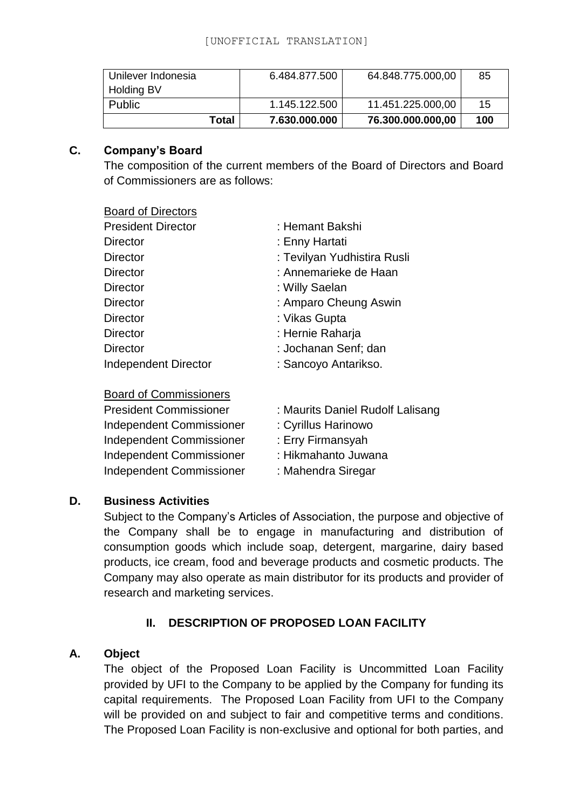| Unilever Indonesia<br><b>Holding BV</b> | 6.484.877.500 | 64.848.775.000,00 | 85  |
|-----------------------------------------|---------------|-------------------|-----|
| <b>Public</b>                           | 1.145.122.500 | 11.451.225.000,00 | 15  |
| Total                                   | 7.630.000.000 | 76.300.000.000,00 | 100 |

### **C. Company's Board**

The composition of the current members of the Board of Directors and Board of Commissioners are as follows:

#### Board of Directors

| <b>President Director</b>   | : Hemant Bakshi             |
|-----------------------------|-----------------------------|
| Director                    | : Enny Hartati              |
| <b>Director</b>             | : Tevilyan Yudhistira Rusli |
| <b>Director</b>             | : Annemarieke de Haan       |
| Director                    | : Willy Saelan              |
| Director                    | : Amparo Cheung Aswin       |
| Director                    | : Vikas Gupta               |
| <b>Director</b>             | : Hernie Raharja            |
| <b>Director</b>             | : Jochanan Senf; dan        |
| <b>Independent Director</b> | : Sancoyo Antarikso.        |
| $D_{\alpha}$                |                             |

| <b>Board of Commissioners</b>   |                                  |
|---------------------------------|----------------------------------|
| <b>President Commissioner</b>   | : Maurits Daniel Rudolf Lalisang |
| Independent Commissioner        | : Cyrillus Harinowo              |
| Independent Commissioner        | : Erry Firmansyah                |
| Independent Commissioner        | : Hikmahanto Juwana              |
| <b>Independent Commissioner</b> | : Mahendra Siregar               |

### **D. Business Activities**

Subject to the Company's Articles of Association, the purpose and objective of the Company shall be to engage in manufacturing and distribution of consumption goods which include soap, detergent, margarine, dairy based products, ice cream, food and beverage products and cosmetic products. The Company may also operate as main distributor for its products and provider of research and marketing services.

## **II. DESCRIPTION OF PROPOSED LOAN FACILITY**

### **A. Object**

The object of the Proposed Loan Facility is Uncommitted Loan Facility provided by UFI to the Company to be applied by the Company for funding its capital requirements. The Proposed Loan Facility from UFI to the Company will be provided on and subject to fair and competitive terms and conditions. The Proposed Loan Facility is non-exclusive and optional for both parties, and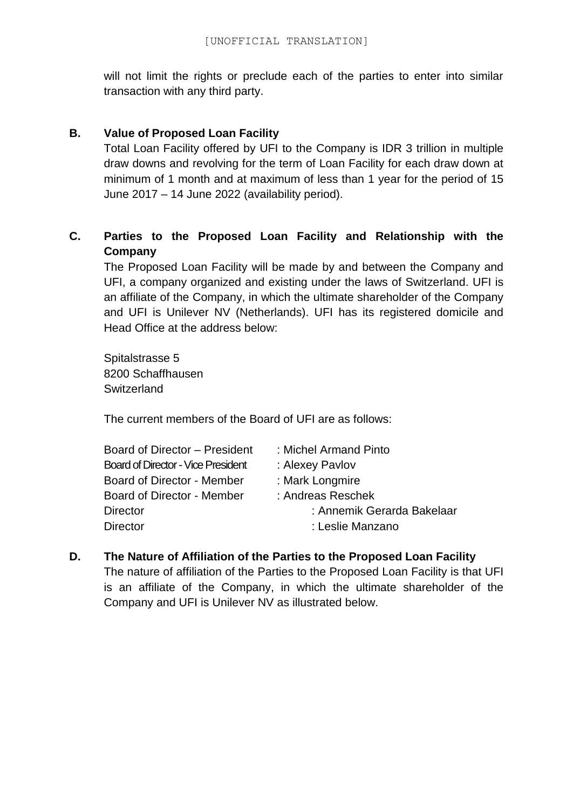will not limit the rights or preclude each of the parties to enter into similar transaction with any third party.

### **B. Value of Proposed Loan Facility**

Total Loan Facility offered by UFI to the Company is IDR 3 trillion in multiple draw downs and revolving for the term of Loan Facility for each draw down at minimum of 1 month and at maximum of less than 1 year for the period of 15 June 2017 – 14 June 2022 (availability period).

## **C. Parties to the Proposed Loan Facility and Relationship with the Company**

The Proposed Loan Facility will be made by and between the Company and UFI, a company organized and existing under the laws of Switzerland. UFI is an affiliate of the Company, in which the ultimate shareholder of the Company and UFI is Unilever NV (Netherlands). UFI has its registered domicile and Head Office at the address below:

Spitalstrasse 5 8200 Schaffhausen **Switzerland** 

The current members of the Board of UFI are as follows:

| Board of Director - President             | : Michel Armand Pinto      |
|-------------------------------------------|----------------------------|
| <b>Board of Director - Vice President</b> | : Alexey Pavlov            |
| <b>Board of Director - Member</b>         | : Mark Longmire            |
| Board of Director - Member                | : Andreas Reschek          |
| Director                                  | : Annemik Gerarda Bakelaar |
| <b>Director</b>                           | : Leslie Manzano           |

**D. The Nature of Affiliation of the Parties to the Proposed Loan Facility** The nature of affiliation of the Parties to the Proposed Loan Facility is that UFI is an affiliate of the Company, in which the ultimate shareholder of the Company and UFI is Unilever NV as illustrated below.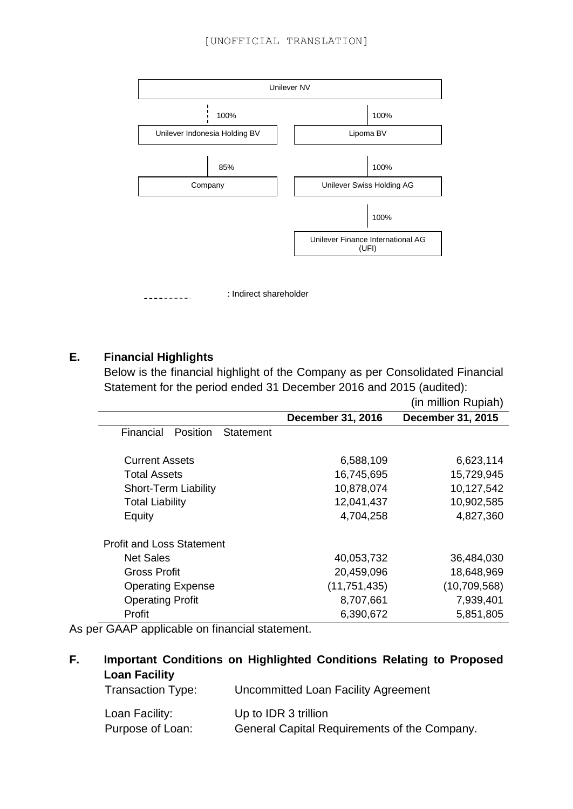

## **E. Financial Highlights**

Below is the financial highlight of the Company as per Consolidated Financial Statement for the period ended 31 December 2016 and 2015 (audited):

|                                           |                          | (in million Rupiah)      |
|-------------------------------------------|--------------------------|--------------------------|
|                                           | <b>December 31, 2016</b> | <b>December 31, 2015</b> |
| Financial<br><b>Position</b><br>Statement |                          |                          |
| <b>Current Assets</b>                     | 6,588,109                | 6,623,114                |
| <b>Total Assets</b>                       | 16,745,695               | 15,729,945               |
| <b>Short-Term Liability</b>               | 10,878,074               | 10,127,542               |
| <b>Total Liability</b>                    | 12,041,437               | 10,902,585               |
| Equity                                    | 4,704,258                | 4,827,360                |
| <b>Profit and Loss Statement</b>          |                          |                          |
| <b>Net Sales</b>                          | 40,053,732               | 36,484,030               |
| <b>Gross Profit</b>                       | 20,459,096               | 18,648,969               |
| <b>Operating Expense</b>                  | (11, 751, 435)           | (10,709,568)             |
| <b>Operating Profit</b>                   | 8,707,661                | 7,939,401                |
| Profit                                    | 6,390,672                | 5,851,805                |

As per GAAP applicable on financial statement.

## **F. Important Conditions on Highlighted Conditions Relating to Proposed Loan Facility**

| Transaction Type: | Uncommitted Loan Facility Agreement          |
|-------------------|----------------------------------------------|
| Loan Facility:    | Up to IDR 3 trillion                         |
| Purpose of Loan:  | General Capital Requirements of the Company. |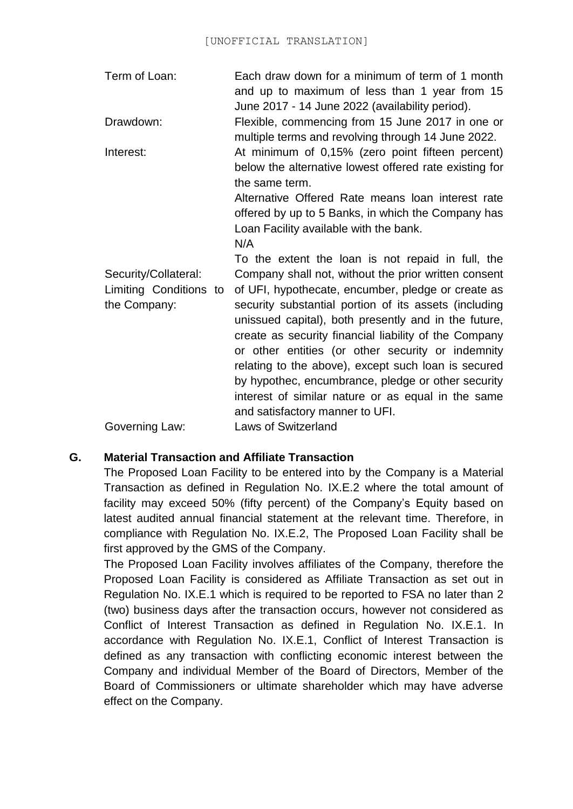| Term of Loan: | Each draw down for a minimum of term of 1 month |
|---------------|-------------------------------------------------|
|               | and up to maximum of less than 1 year from 15   |
|               | June 2017 - 14 June 2022 (availability period). |

Drawdown: Flexible, commencing from 15 June 2017 in one or multiple terms and revolving through 14 June 2022.

Interest: At minimum of 0,15% (zero point fifteen percent) below the alternative lowest offered rate existing for the same term.

Alternative Offered Rate means loan interest rate offered by up to 5 Banks, in which the Company has Loan Facility available with the bank.

N/A

Security/Collateral: Limiting Conditions to the Company: Governing Law: To the extent the loan is not repaid in full, the Company shall not, without the prior written consent of UFI, hypothecate, encumber, pledge or create as security substantial portion of its assets (including unissued capital), both presently and in the future, create as security financial liability of the Company or other entities (or other security or indemnity relating to the above), except such loan is secured by hypothec, encumbrance, pledge or other security interest of similar nature or as equal in the same and satisfactory manner to UFI. Laws of Switzerland

#### **G. Material Transaction and Affiliate Transaction**

The Proposed Loan Facility to be entered into by the Company is a Material Transaction as defined in Regulation No. IX.E.2 where the total amount of facility may exceed 50% (fifty percent) of the Company's Equity based on latest audited annual financial statement at the relevant time. Therefore, in compliance with Regulation No. IX.E.2, The Proposed Loan Facility shall be first approved by the GMS of the Company.

The Proposed Loan Facility involves affiliates of the Company, therefore the Proposed Loan Facility is considered as Affiliate Transaction as set out in Regulation No. IX.E.1 which is required to be reported to FSA no later than 2 (two) business days after the transaction occurs, however not considered as Conflict of Interest Transaction as defined in Regulation No. IX.E.1. In accordance with Regulation No. IX.E.1, Conflict of Interest Transaction is defined as any transaction with conflicting economic interest between the Company and individual Member of the Board of Directors, Member of the Board of Commissioners or ultimate shareholder which may have adverse effect on the Company.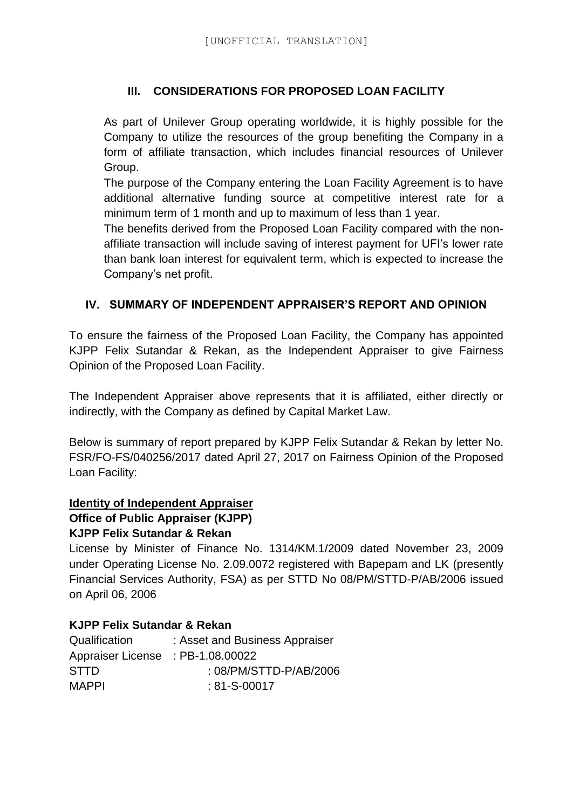### **III. CONSIDERATIONS FOR PROPOSED LOAN FACILITY**

As part of Unilever Group operating worldwide, it is highly possible for the Company to utilize the resources of the group benefiting the Company in a form of affiliate transaction, which includes financial resources of Unilever Group.

The purpose of the Company entering the Loan Facility Agreement is to have additional alternative funding source at competitive interest rate for a minimum term of 1 month and up to maximum of less than 1 year.

The benefits derived from the Proposed Loan Facility compared with the nonaffiliate transaction will include saving of interest payment for UFI's lower rate than bank loan interest for equivalent term, which is expected to increase the Company's net profit.

### **IV. SUMMARY OF INDEPENDENT APPRAISER'S REPORT AND OPINION**

To ensure the fairness of the Proposed Loan Facility, the Company has appointed KJPP Felix Sutandar & Rekan, as the Independent Appraiser to give Fairness Opinion of the Proposed Loan Facility.

The Independent Appraiser above represents that it is affiliated, either directly or indirectly, with the Company as defined by Capital Market Law.

Below is summary of report prepared by KJPP Felix Sutandar & Rekan by letter No. FSR/FO-FS/040256/2017 dated April 27, 2017 on Fairness Opinion of the Proposed Loan Facility:

#### **Identity of Independent Appraiser**

# **Office of Public Appraiser (KJPP)**

#### **KJPP Felix Sutandar & Rekan**

License by Minister of Finance No. 1314/KM.1/2009 dated November 23, 2009 under Operating License No. 2.09.0072 registered with Bapepam and LK (presently Financial Services Authority, FSA) as per STTD No 08/PM/STTD-P/AB/2006 issued on April 06, 2006

#### **KJPP Felix Sutandar & Rekan**

| Qualification                     | : Asset and Business Appraiser |
|-----------------------------------|--------------------------------|
| Appraiser License : PB-1.08.00022 |                                |
| <b>STTD</b>                       | : 08/PM/STTD-P/AB/2006         |
| <b>MAPPI</b>                      | $: 81 - S - 00017$             |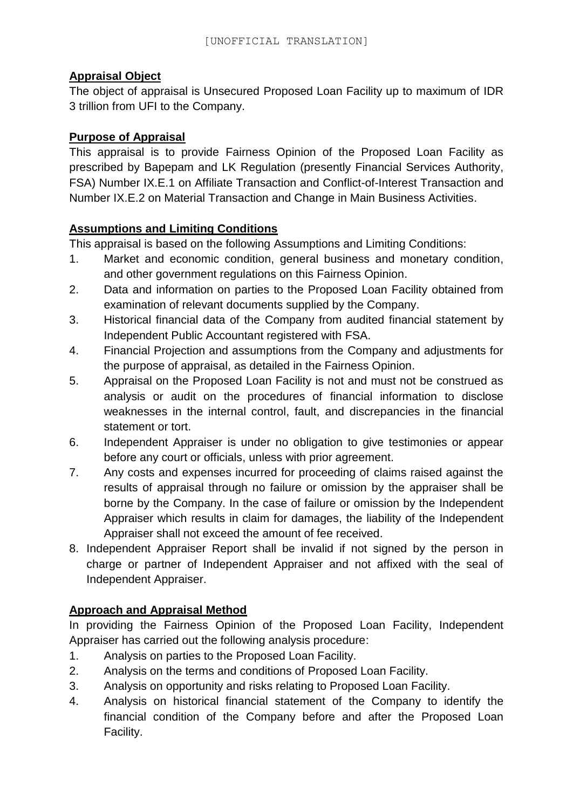## **Appraisal Object**

The object of appraisal is Unsecured Proposed Loan Facility up to maximum of IDR 3 trillion from UFI to the Company.

### **Purpose of Appraisal**

This appraisal is to provide Fairness Opinion of the Proposed Loan Facility as prescribed by Bapepam and LK Regulation (presently Financial Services Authority, FSA) Number IX.E.1 on Affiliate Transaction and Conflict-of-Interest Transaction and Number IX.E.2 on Material Transaction and Change in Main Business Activities.

### **Assumptions and Limiting Conditions**

This appraisal is based on the following Assumptions and Limiting Conditions:

- 1. Market and economic condition, general business and monetary condition, and other government regulations on this Fairness Opinion.
- 2. Data and information on parties to the Proposed Loan Facility obtained from examination of relevant documents supplied by the Company.
- 3. Historical financial data of the Company from audited financial statement by Independent Public Accountant registered with FSA.
- 4. Financial Projection and assumptions from the Company and adjustments for the purpose of appraisal, as detailed in the Fairness Opinion.
- 5. Appraisal on the Proposed Loan Facility is not and must not be construed as analysis or audit on the procedures of financial information to disclose weaknesses in the internal control, fault, and discrepancies in the financial statement or tort.
- 6. Independent Appraiser is under no obligation to give testimonies or appear before any court or officials, unless with prior agreement.
- 7. Any costs and expenses incurred for proceeding of claims raised against the results of appraisal through no failure or omission by the appraiser shall be borne by the Company. In the case of failure or omission by the Independent Appraiser which results in claim for damages, the liability of the Independent Appraiser shall not exceed the amount of fee received.
- 8. Independent Appraiser Report shall be invalid if not signed by the person in charge or partner of Independent Appraiser and not affixed with the seal of Independent Appraiser.

## **Approach and Appraisal Method**

In providing the Fairness Opinion of the Proposed Loan Facility, Independent Appraiser has carried out the following analysis procedure:

- 1. Analysis on parties to the Proposed Loan Facility.
- 2. Analysis on the terms and conditions of Proposed Loan Facility.
- 3. Analysis on opportunity and risks relating to Proposed Loan Facility.
- 4. Analysis on historical financial statement of the Company to identify the financial condition of the Company before and after the Proposed Loan Facility.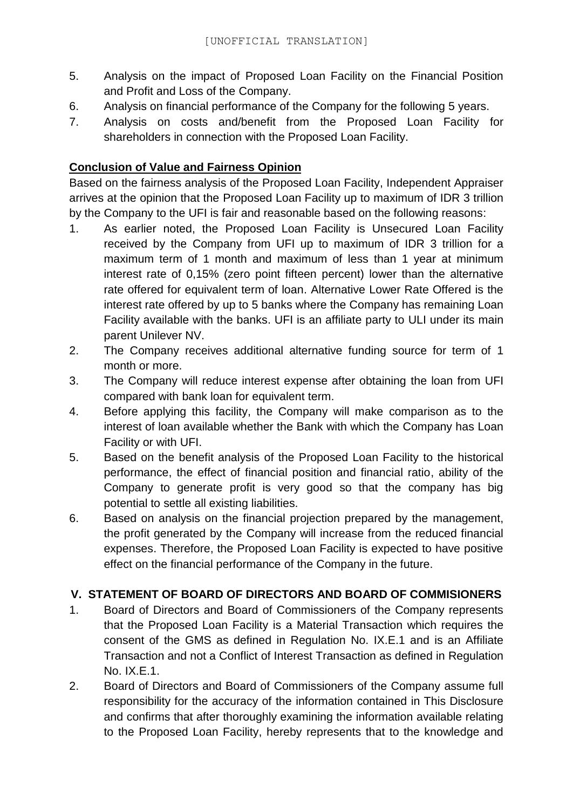- 5. Analysis on the impact of Proposed Loan Facility on the Financial Position and Profit and Loss of the Company.
- 6. Analysis on financial performance of the Company for the following 5 years.
- 7. Analysis on costs and/benefit from the Proposed Loan Facility for shareholders in connection with the Proposed Loan Facility.

### **Conclusion of Value and Fairness Opinion**

Based on the fairness analysis of the Proposed Loan Facility, Independent Appraiser arrives at the opinion that the Proposed Loan Facility up to maximum of IDR 3 trillion by the Company to the UFI is fair and reasonable based on the following reasons:

- 1. As earlier noted, the Proposed Loan Facility is Unsecured Loan Facility received by the Company from UFI up to maximum of IDR 3 trillion for a maximum term of 1 month and maximum of less than 1 year at minimum interest rate of 0,15% (zero point fifteen percent) lower than the alternative rate offered for equivalent term of loan. Alternative Lower Rate Offered is the interest rate offered by up to 5 banks where the Company has remaining Loan Facility available with the banks. UFI is an affiliate party to ULI under its main parent Unilever NV.
- 2. The Company receives additional alternative funding source for term of 1 month or more.
- 3. The Company will reduce interest expense after obtaining the loan from UFI compared with bank loan for equivalent term.
- 4. Before applying this facility, the Company will make comparison as to the interest of loan available whether the Bank with which the Company has Loan Facility or with UFI.
- 5. Based on the benefit analysis of the Proposed Loan Facility to the historical performance, the effect of financial position and financial ratio, ability of the Company to generate profit is very good so that the company has big potential to settle all existing liabilities.
- 6. Based on analysis on the financial projection prepared by the management, the profit generated by the Company will increase from the reduced financial expenses. Therefore, the Proposed Loan Facility is expected to have positive effect on the financial performance of the Company in the future.

### **V. STATEMENT OF BOARD OF DIRECTORS AND BOARD OF COMMISIONERS**

- 1. Board of Directors and Board of Commissioners of the Company represents that the Proposed Loan Facility is a Material Transaction which requires the consent of the GMS as defined in Regulation No. IX.E.1 and is an Affiliate Transaction and not a Conflict of Interest Transaction as defined in Regulation No. IX.E.1.
- 2. Board of Directors and Board of Commissioners of the Company assume full responsibility for the accuracy of the information contained in This Disclosure and confirms that after thoroughly examining the information available relating to the Proposed Loan Facility, hereby represents that to the knowledge and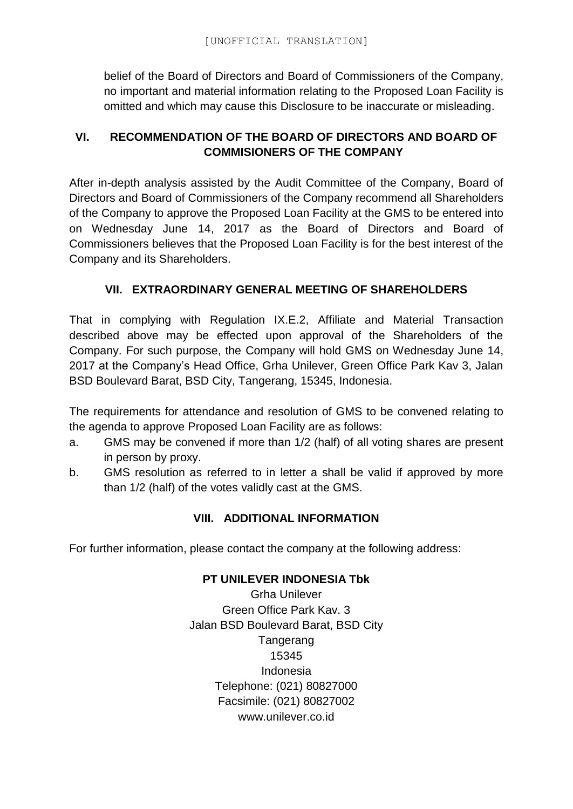belief of the Board of Directors and Board of Commissioners of the Company, no important and material information relating to the Proposed Loan Facility is omitted and which may cause this Disclosure to be inaccurate or misleading.

## **VI. RECOMMENDATION OF THE BOARD OF DIRECTORS AND BOARD OF COMMISIONERS OF THE COMPANY**

After in-depth analysis assisted by the Audit Committee of the Company, Board of Directors and Board of Commissioners of the Company recommend all Shareholders of the Company to approve the Proposed Loan Facility at the GMS to be entered into on Wednesday June 14, 2017 as the Board of Directors and Board of Commissioners believes that the Proposed Loan Facility is for the best interest of the Company and its Shareholders.

## **VII. EXTRAORDINARY GENERAL MEETING OF SHAREHOLDERS**

That in complying with Regulation IX.E.2, Affiliate and Material Transaction described above may be effected upon approval of the Shareholders of the Company. For such purpose, the Company will hold GMS on Wednesday June 14, 2017 at the Company's Head Office, Grha Unilever, Green Office Park Kav 3, Jalan BSD Boulevard Barat, BSD City, Tangerang, 15345, Indonesia.

The requirements for attendance and resolution of GMS to be convened relating to the agenda to approve Proposed Loan Facility are as follows:

- a. GMS may be convened if more than 1/2 (half) of all voting shares are present in person by proxy.
- b. GMS resolution as referred to in letter a shall be valid if approved by more than 1/2 (half) of the votes validly cast at the GMS.

## **VIII. ADDITIONAL INFORMATION**

For further information, please contact the company at the following address:

### **PT UNILEVER INDONESIA Tbk**

Grha Unilever Green Office Park Kav. 3 Jalan BSD Boulevard Barat, BSD City Tangerang 15345 Indonesia Telephone: (021) 80827000 Facsimile: (021) 80827002 www.unilever.co.id